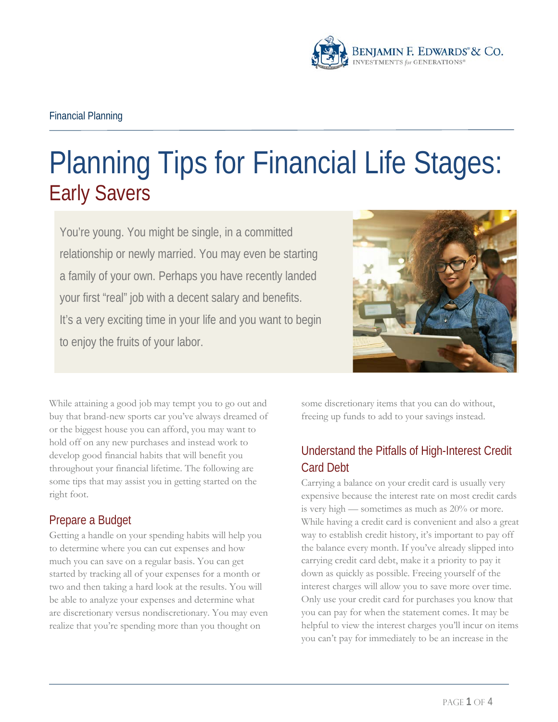

# Planning Tips for Financial Life Stages: Early Savers

You're young. You might be single, in a committed relationship or newly married. You may even be starting a family of your own. Perhaps you have recently landed your first "real" job with a decent salary and benefits. It's a very exciting time in your life and you want to begin to enjoy the fruits of your labor.



While attaining a good job may tempt you to go out and buy that brand-new sports car you've always dreamed of or the biggest house you can afford, you may want to hold off on any new purchases and instead work to develop good financial habits that will benefit you throughout your financial lifetime. The following are some tips that may assist you in getting started on the right foot.

## Prepare a Budget

Getting a handle on your spending habits will help you to determine where you can cut expenses and how much you can save on a regular basis. You can get started by tracking all of your expenses for a month or two and then taking a hard look at the results. You will be able to analyze your expenses and determine what are discretionary versus nondiscretionary. You may even realize that you're spending more than you thought on

some discretionary items that you can do without, freeing up funds to add to your savings instead.

## Understand the Pitfalls of High-Interest Credit Card Debt

Carrying a balance on your credit card is usually very expensive because the interest rate on most credit cards is very high — sometimes as much as 20% or more. While having a credit card is convenient and also a great way to establish credit history, it's important to pay off the balance every month. If you've already slipped into carrying credit card debt, make it a priority to pay it down as quickly as possible. Freeing yourself of the interest charges will allow you to save more over time. Only use your credit card for purchases you know that you can pay for when the statement comes. It may be helpful to view the interest charges you'll incur on items you can't pay for immediately to be an increase in the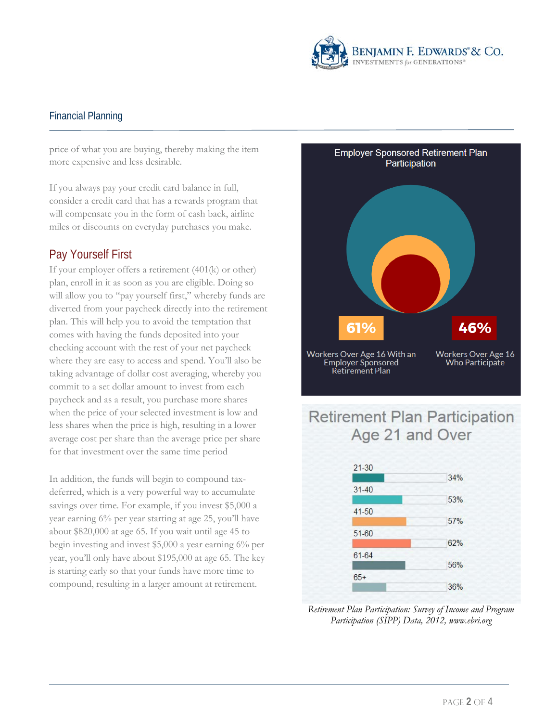

#### Financial Planning

price of what you are buying, thereby making the item more expensive and less desirable.

If you always pay your credit card balance in full, consider a credit card that has a rewards program that will compensate you in the form of cash back, airline miles or discounts on everyday purchases you make.

#### Pay Yourself First

If your employer offers a retirement (401(k) or other) plan, enroll in it as soon as you are eligible. Doing so will allow you to "pay yourself first," whereby funds are diverted from your paycheck directly into the retirement plan. This will help you to avoid the temptation that comes with having the funds deposited into your checking account with the rest of your net paycheck where they are easy to access and spend. You'll also be taking advantage of dollar cost averaging, whereby you commit to a set dollar amount to invest from each paycheck and as a result, you purchase more shares when the price of your selected investment is low and less shares when the price is high, resulting in a lower average cost per share than the average price per share for that investment over the same time period

In addition, the funds will begin to compound taxdeferred, which is a very powerful way to accumulate savings over time. For example, if you invest \$5,000 a year earning 6% per year starting at age 25, you'll have about \$820,000 at age 65. If you wait until age 45 to begin investing and invest \$5,000 a year earning 6% per year, you'll only have about \$195,000 at age 65. The key is starting early so that your funds have more time to compound, resulting in a larger amount at retirement.



## **Retirement Plan Participation** Age 21 and Over



*Retirement Plan Participation: Survey of Income and Program Participation (SIPP) Data, 2012, www.ebri.org*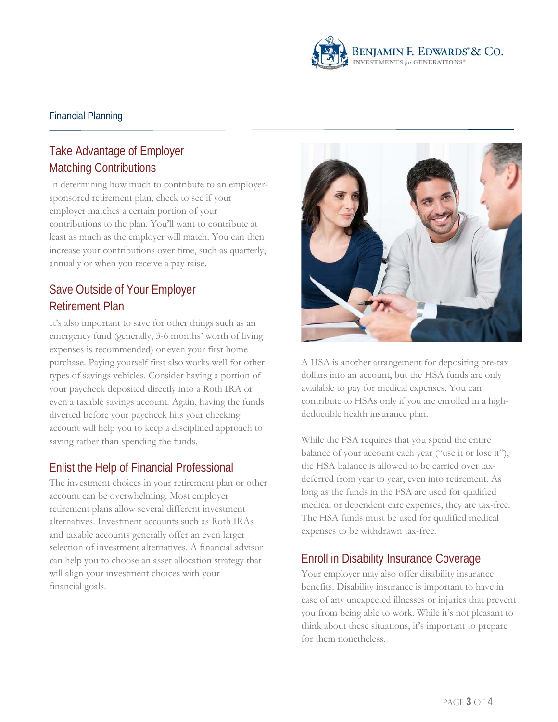

#### Financial Planning

## Take Advantage of Employer Matching Contributions

In determining how much to contribute to an employersponsored retirement plan, check to see if your employer matches a certain portion of your contributions to the plan. You'll want to contribute at least as much as the employer will match. You can then increase your contributions over time, such as quarterly, annually or when you receive a pay raise.

## Save Outside of Your Employer Retirement Plan

It's also important to save for other things such as an emergency fund (generally, 3-6 months' worth of living expenses is recommended) or even your first home purchase. Paying yourself first also works well for other types of savings vehicles. Consider having a portion of your paycheck deposited directly into a Roth IRA or even a taxable savings account. Again, having the funds diverted before your paycheck hits your checking account will help you to keep a disciplined approach to saving rather than spending the funds.

### Enlist the Help of Financial Professional

The investment choices in your retirement plan or other account can be overwhelming. Most employer retirement plans allow several different investment alternatives. Investment accounts such as Roth IRAs and taxable accounts generally offer an even larger selection of investment alternatives. A financial advisor can help you to choose an asset allocation strategy that will align your investment choices with your financial goals.



A HSA is another arrangement for depositing pre-tax dollars into an account, but the HSA funds are only available to pay for medical expenses. You can contribute to HSAs only if you are enrolled in a highdeductible health insurance plan.

While the FSA requires that you spend the entire balance of your account each year ("use it or lose it"), the HSA balance is allowed to be carried over taxdeferred from year to year, even into retirement. As long as the funds in the FSA are used for qualified medical or dependent care expenses, they are tax-free. The HSA funds must be used for qualified medical expenses to be withdrawn tax-free.

### Enroll in Disability Insurance Coverage

Your employer may also offer disability insurance benefits. Disability insurance is important to have in case of any unexpected illnesses or injuries that prevent you from being able to work. While it's not pleasant to think about these situations, it's important to prepare for them nonetheless.